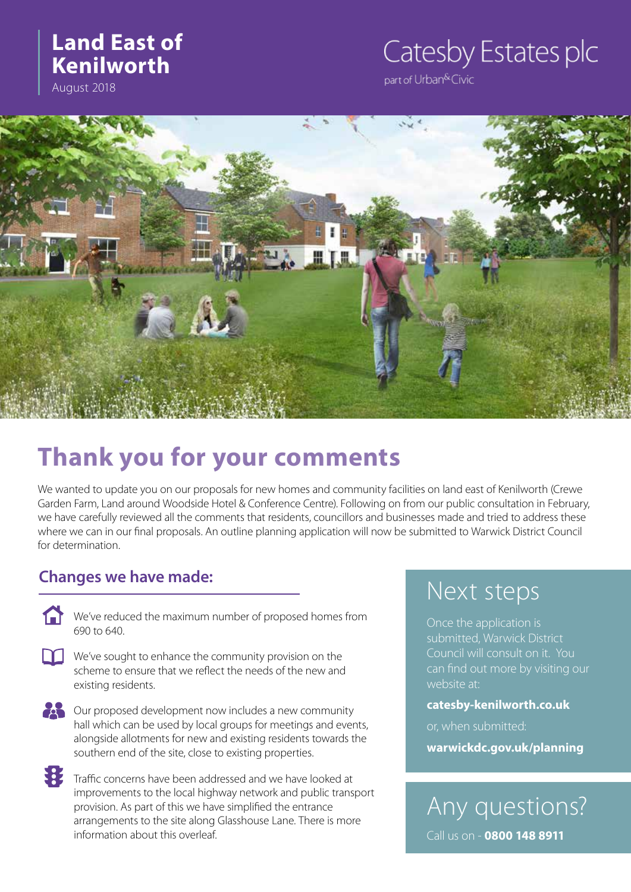## **Land East of Kenilworth**

August 2018

# Catesby Estates plc

part of Urban<sup>&</sup>Civic



# **Thank you for your comments**

We wanted to update you on our proposals for new homes and community facilities on land east of Kenilworth (Crewe Garden Farm, Land around Woodside Hotel & Conference Centre). Following on from our public consultation in February, we have carefully reviewed all the comments that residents, councillors and businesses made and tried to address these where we can in our final proposals. An outline planning application will now be submitted to Warwick District Council for determination.

## **Changes we have made:**

The We've reduced the maximum number of proposed homes from 690 to 640.

- $\prod$  We've sought to enhance the community provision on the scheme to ensure that we reflect the needs of the new and existing residents.
- 

Our proposed development now includes a new community hall which can be used by local groups for meetings and events, alongside allotments for new and existing residents towards the southern end of the site, close to existing properties.

我 Traffic concerns have been addressed and we have looked at improvements to the local highway network and public transport provision. As part of this we have simplified the entrance arrangements to the site along Glasshouse Lane. There is more information about this overleaf.

## Next steps

Once the application is submitted, Warwick District Council will consult on it. You can find out more by visiting our website at:

#### **catesby-kenilworth.co.uk**

or, when submitted:

**warwickdc.gov.uk/planning**

Any questions? Call us on - **0800 148 8911**